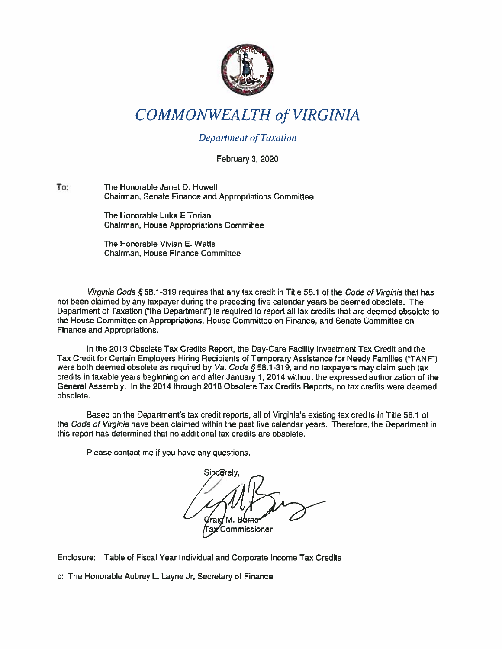

## COMMONWEALTH of VIRGINIA

## **Department of Taxation**

February 3, 2020

To: The Honorable Janet D. Howell Chairman, Senate Finance and Appropriations Committee

> The Honorable Luke E Torian Chairman, House Appropriations Committee

The Honorable Vivian E. Watts Chairman, House Finance Committee

Virginia Code § 58.1-319 requires that any tax credit in Title 58.1 of the Code of Virginia that has not been claimed by any taxpayer during the preceding five calendar years be deemed obsolete. The Department of Taxation ('the Department") is required to repor<sup>t</sup> all tax credits that are deemed obsolete to the House Committee on Appropriations, House Committee on Finance, and Senate Committee on Finance and Appropriations.

In the 2013 Obsolete Tax Credits Report, the Day-Care Facility Investment Tax Credit and the Tax Credit for Certain Employers Hiring Recipients of Temporary Assistance for Needy Families ("TANF") were both deemed obsolete as required by  $Va. Code \S 58.1-319$ , and no taxpayers may claim such tax credits in taxable years beginning on and after January 1, 2014 without the expressed authorization of the General Assembly. In the 2014 through 2018 Obsolete Tax Credits Reports, no tax credits were deemed obsolete.

Based on the Department's tax credit reports, all of Virginia's existing tax credits in Title 58.1 of the Code of Virginia have been claimed within the past five calendar years. Therefore, the Department in this repor<sup>t</sup> has determined that no additional tax credits are obsolete.

Please contact me if you have any questions.

Sincerely. M. Borne Commissioner

Enclosure: Table of Fiscal Year Individual and Corporate Income Tax Credits

c: The Honorable Aubrey L. Layne Jr, Secretary of Finance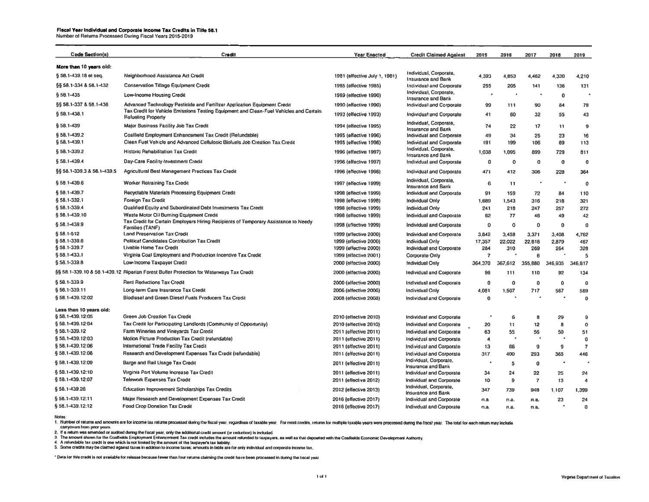## Fiscal Year Individual and Corporate Income Tax Credits tn Title 58.1 Number of Returns Processed During Fiscal Years 2015-2019

| <b>Code Section(s)</b>     | Credit                                                                                                        | <b>Year Enacted</b>                            | <b>Credit Claimed Against</b>                                      | 2015        | 2016    | 2017           | 2018            | 2019           |
|----------------------------|---------------------------------------------------------------------------------------------------------------|------------------------------------------------|--------------------------------------------------------------------|-------------|---------|----------------|-----------------|----------------|
| More than 10 years old:    |                                                                                                               |                                                |                                                                    |             |         |                |                 |                |
| § 58.1-439.18 et seq.      | Neighborhood Assistance Act Credit                                                                            | 1981 (effective July 1, 1981)                  | Individual, Corporate,<br><b>Insurance and Bank</b>                | 4,393       | 4.853   | 4,462          | 4,330           | 4,210          |
| §§ 58.1-334 & 58.1-432     | <b>Conservation Tillage Equipment Credit</b>                                                                  | 1985 (effective 1985)                          | <b>Individual and Corporate</b>                                    | 255         | 205     | 141            | 136             | 131            |
| 558.1-435                  | <b>Low-Income Housing Credit</b>                                                                              | 1989 (effective 1990)                          | Individual, Corporate,                                             | ÷           |         |                | $\mathbf 0$     |                |
| 55 58.1-337 & 58.1-436     | Advanced Technology Pesticide and Fertilizer Application Equipment Credit                                     | 1990 (effective 1990)                          | <b>Insurance and Bank</b><br><b>Individual and Corporate</b>       | 99          | 111     | 90             | 84              | 78             |
| § 58.1-438.1               | Tax Credit for Vehicle Emissions Testing Equipment and Clean-Fuel Vehicles and Certain                        | 1993 (effective 1993)                          | <b>Individual and Corporate</b>                                    | 41          | 60      | 32             | 55              | 43             |
| § 58.1-439                 | <b>Refueling Property</b><br>Major Business Facility Job Tax Credit                                           | 1994 (ellective 1995)                          | Individual, Corporate,                                             | 74          | 22      | 17             | 11              | $\mathbf{9}$   |
| §58.1-439.2                | Coalfield Employment Enhancement Tax Credit (Refundable)                                                      |                                                | <b>Insurance and Bank</b>                                          | 49          | 34      |                |                 | 16             |
| § 58.1-439.1               | Clean Fuel Vehicle and Advanced Cellulosic Biofuels Job Creation Tax Credit                                   | 1995 (effective 1996)<br>1995 (effective 1996) | <b>Individual and Corporate</b><br><b>Individual and Corporate</b> | 191         | 199     | 25<br>106      | 23<br>89        | 113            |
|                            |                                                                                                               |                                                | Individual, Corporate,                                             |             |         |                |                 |                |
| 5 58.1-339.2               | <b>Historic Rehabilitation Tax Credit</b>                                                                     | 1996 (effective 1997)                          | <b>Insurance and Bank</b>                                          | 1,038       | 1,095   | 899            | 729             | 811            |
| § 58.1-439.4               | Day-Care Facility Investment Credit                                                                           | 1996 (effective 1997)                          | Individual and Corporate                                           | 0           | $\circ$ | 0              | $\mathbf 0$     | $\mathbf 0$    |
| §§ 58.1-339.3 & 58.1-439.5 | Agricultural Best Management Practices Tax Credit                                                             | 1996 (effective 1998)                          | Individual and Corporate                                           | 471         | 412     | 306            | 228             | 364            |
| $$58.1 - 439.6$            | <b>Worker Retraining Tax Credit</b>                                                                           | 1997 (effective 1999)                          | Individual, Corporate.<br><b>Insurance and Bank</b>                | 6           | 11      |                | $\bullet$       | $\mathbf{o}$   |
| § 58.1-439.7               | Recyclable Materials Processing Equipment Credit                                                              | 1998 (effective 1999)                          | <b>Individual and Corporate</b>                                    | 91          | 159     | 72             | 84              | 110            |
| § 58.1-332.1               | <b>Foreign Tax Credit</b>                                                                                     | 1998 (effective 1998)                          | <b>Individual Only</b>                                             | 1,689       | 1,543   | 316            | 218             | 321            |
| 5 58.1-339.4               | Qualified Equity and Subordinated Debt Investments Tax Credit                                                 | 1998 (effective 1999)                          | Individual Only                                                    | 241         | 218     | 247            | 257             | 272            |
| 558.1-439.10               | Waste Motor Oil Burning Equipment Credit                                                                      | 1998 (ellective 1999)                          | Individual and Corporate                                           | 62          | 77      | 46             | 49              | 42             |
| § 58.1-439.9               | Tax Credit for Certain Employers Hiring Recipients of Temporary Assistance to Needy<br><b>Families (TANF)</b> | 1998 (effective 1999)                          | <b>Individual and Corporate</b>                                    | 0           | 0       | 0              | 0               | $\bf 0$        |
| § 58.1-512                 | <b>Land Preservation Tax Credit</b>                                                                           | 1999 (effective 2000)                          | <b>Individual and Corporate</b>                                    | 3,842       | 3,458   | 3,371          | 3,408           | 4,762          |
| § 58.1-339.6               | <b>Political Candidales Contribution Tax Credit</b>                                                           | 1999 (effective 2000)                          | <b>Individual Only</b>                                             | 17,357      | 22,022  | 22,816         | 2,879           | 467            |
| § 58.1-339.7               | <b>Livable Home Tax Credit</b>                                                                                | 1999 (effective 2000)                          | Individual and Corporate                                           | 284         | 310     | 269            | 264             | 328            |
| § 58.1-433.1               | Virginia Coal Employment and Production Incentive Tax Credit                                                  | 1999 (elfective 2001)                          | Corporate Only                                                     | 7           |         | 6              |                 | 5              |
| § 58.1-339.8               | Low-Income Taxpayer Credit                                                                                    | 2000 (effective 2000)                          | Individual Only                                                    | 364,370     | 367,612 | 355,880        | 346,935         | 346,817        |
|                            | §§ 58.1-339.10 & 58.1-439.12 Riparian Forest Bufler Protection for Waterways Tax Credit                       | 2000 (effective 2000)                          | <b>Individual and Corporate</b>                                    | 98          | 111     | 110            | 92              | 134            |
| 558.1-339.9                | <b>Rent Reductions Tax Credit</b>                                                                             | 2000 (effective 2000)                          | Individual and Corporate                                           | 0           | $\circ$ | $\mathbf 0$    | 0               | $\bf{0}$       |
| § 58.1-339.11              | Long-term Care Insurance Tax Credit                                                                           | 2006 (effective 2006)                          | <b>Individual Only</b>                                             | 4,081       | 1,507   | 717            | 567             | 569            |
| § 58.1-439.12:02           | Biodiesel and Green Diesel Fuels Producers Tax Credit                                                         | 2008 (effective 2008)                          | <b>Individual and Corporate</b>                                    | $\mathbf 0$ |         |                |                 | $\mathbf 0$    |
| Less than 10 years old:    |                                                                                                               |                                                |                                                                    |             |         |                |                 |                |
| § 58.1-439.12:05           | <b>Green Job Creation Tax Credit</b>                                                                          | 2010 (effective 2010)                          | <b>Individual and Corporate</b>                                    |             | 6       | 8              | 29              | 9              |
| § 58.1-439.12:04           | Tax Credit for Participating Landlords (Community of Opportunity)                                             | 2010 (effective 2010)                          | <b>Individual and Corporate</b>                                    | 20          | 11      | 12             | 8               | $\mathbf 0$    |
| § 58.1-339.12              | Farm Wineries and Vineyards Tax Credit                                                                        | 2011 (ellective 2011)                          | <b>Individual and Corporate</b>                                    | 63          | 55      | 56             | 50              | 51             |
| § 58.1-439.12:03           | Motion Picture Production Tax Credit (refundable)                                                             | 2011 (effective 2011)                          | Individual and Corporate                                           | 4           |         |                |                 | $\bf 0$        |
| § 58.1-439.12:06           | <b>International Trade Facility Tax Credit</b>                                                                | 2011 (effective 2011)                          | <b>Individual and Corporate</b>                                    | 13          | 66      | 9              | 9               | $\overline{t}$ |
| §58.1-439.12:08            | Research and Development Expenses Tax Credit (refundable)                                                     | 2011 (effective 2011)                          | <b>Individual and Corporate</b>                                    | 317         | 400     | 293            | 365             | 446            |
| §58.1-439.12:09            | Barge and Rail Usage Tax Credit                                                                               | 2011 (effective 2011)                          | Individual, Corporate,<br><b>Insurance and Bank</b>                | $\bullet$   | 5       | $\mathbf 0$    |                 |                |
| §58.1-439.12:10            | Virginia Port Volume Increase Tax Credit                                                                      | 2011 (effective 2011)                          | Individual and Corporate                                           | 34          | 24      | 22             | 25              | 24             |
| §58.1-439.12:07            | <b>Telework Expenses Tax Credit</b>                                                                           | 2011 (effective 2012)                          | Individual and Corporate                                           | 10          | 9       | $\overline{7}$ | 13              | 4              |
| \$58.1-439.26              | <b>Education Improvement Scholarships Tax Credits</b>                                                         | 2012 (elfective 2013)                          | Individual, Corporate,                                             | 347         | 739     | 948            | 1,107           | 1,399          |
| 558.1-439.12:11            | Major Research and Development Expenses Tax Credit                                                            |                                                | <b>Insurance and Bank</b>                                          |             |         |                |                 |                |
| \$58.1-439.12:12           |                                                                                                               | 2016 (effective 2017)                          | <b>Individual and Corporate</b>                                    | n.a         | n.a.    | n.a.           | 23<br>$\bullet$ | 24             |
|                            | <b>Food Crop Donation Tax Credit</b>                                                                          | 2016 (effective 2017)                          | Individual and Corporate                                           | n.a.        | n.a.    | n.a.           |                 | $\mathbf{0}$   |

Notes:

1. Number of returns and amounts are for income lax returns processed during the fiscal year, regardless of taxable year. For most credits, returns for multiple taxable years were processed during the fiscal year. The tota

2. If a return was amended or audited during the liscal year, only the additional credit amount (or reduction) is included.<br>3. The amount shown for the Coalfelds Employment Enhancement Tax credit includes the amount refund

\* Data for this credit is not available for release because fewer than four returns claiming the credit have been processed in during the fiscal year.